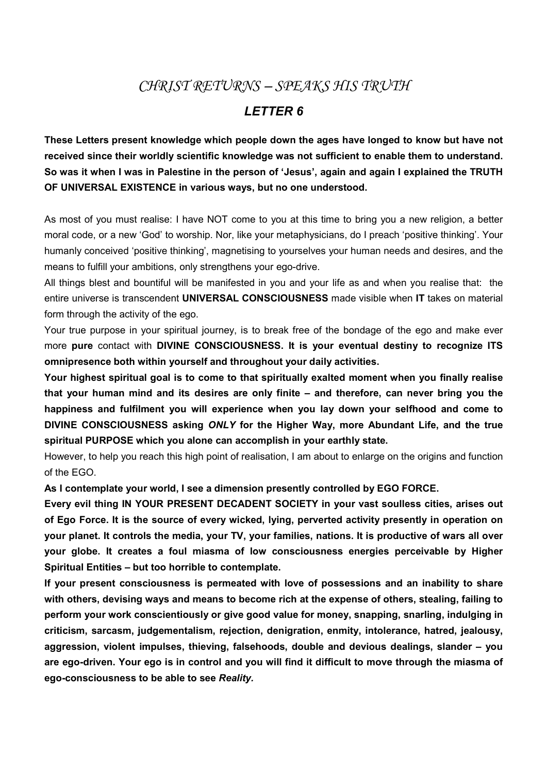# *CHRIST RETURNS – SPEAKS HIS TRUTH*

# *LETTER 6*

**These Letters present knowledge which people down the ages have longed to know but have not received since their worldly scientific knowledge was not sufficient to enable them to understand. So was it when I was in Palestine in the person of 'Jesus', again and again I explained the TRUTH OF UNIVERSAL EXISTENCE in various ways, but no one understood.** 

As most of you must realise: I have NOT come to you at this time to bring you a new religion, a better moral code, or a new 'God' to worship. Nor, like your metaphysicians, do I preach 'positive thinking'. Your humanly conceived 'positive thinking', magnetising to yourselves your human needs and desires, and the means to fulfill your ambitions, only strengthens your ego-drive.

All things blest and bountiful will be manifested in you and your life as and when you realise that: the entire universe is transcendent **UNIVERSAL CONSCIOUSNESS** made visible when **IT** takes on material form through the activity of the ego.

Your true purpose in your spiritual journey, is to break free of the bondage of the ego and make ever more **pure** contact with **DIVINE CONSCIOUSNESS. It is your eventual destiny to recognize ITS omnipresence both within yourself and throughout your daily activities.**

**Your highest spiritual goal is to come to that spiritually exalted moment when you finally realise that your human mind and its desires are only finite – and therefore, can never bring you the happiness and fulfilment you will experience when you lay down your selfhood and come to DIVINE CONSCIOUSNESS asking** *ONLY* **for the Higher Way, more Abundant Life, and the true spiritual PURPOSE which you alone can accomplish in your earthly state.** 

However, to help you reach this high point of realisation, I am about to enlarge on the origins and function of the EGO.

**As I contemplate your world, I see a dimension presently controlled by EGO FORCE.** 

**Every evil thing IN YOUR PRESENT DECADENT SOCIETY in your vast soulless cities, arises out of Ego Force. It is the source of every wicked, lying, perverted activity presently in operation on your planet. It controls the media, your TV, your families, nations. It is productive of wars all over your globe. It creates a foul miasma of low consciousness energies perceivable by Higher Spiritual Entities – but too horrible to contemplate.** 

**If your present consciousness is permeated with love of possessions and an inability to share with others, devising ways and means to become rich at the expense of others, stealing, failing to perform your work conscientiously or give good value for money, snapping, snarling, indulging in criticism, sarcasm, judgementalism, rejection, denigration, enmity, intolerance, hatred, jealousy, aggression, violent impulses, thieving, falsehoods, double and devious dealings, slander – you are ego-driven. Your ego is in control and you will find it difficult to move through the miasma of ego-consciousness to be able to see** *Reality.*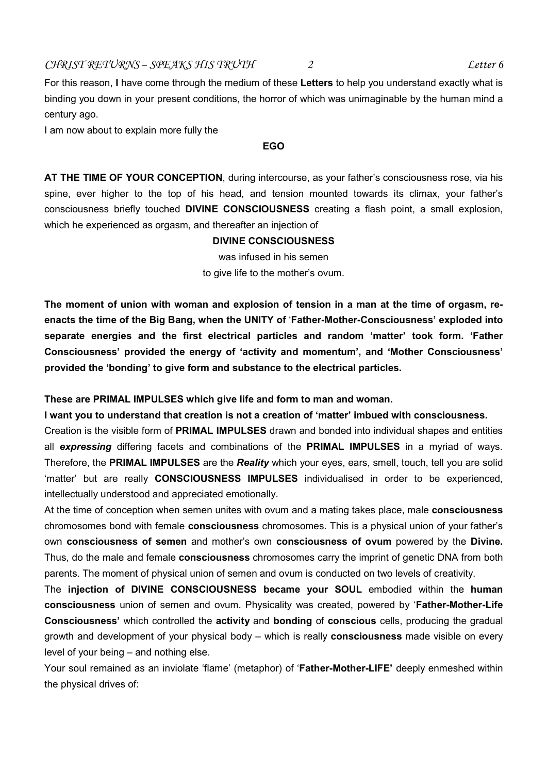*CHRIST RETURNS* – *SPEAKS HIS TRUTH 2 Letter 6*

For this reason, **I** have come through the medium of these **Letters** to help you understand exactly what is binding you down in your present conditions, the horror of which was unimaginable by the human mind a century ago.

I am now about to explain more fully the

#### **EGO**

**AT THE TIME OF YOUR CONCEPTION**, during intercourse, as your father's consciousness rose, via his spine, ever higher to the top of his head, and tension mounted towards its climax, your father's consciousness briefly touched **DIVINE CONSCIOUSNESS** creating a flash point, a small explosion, which he experienced as orgasm, and thereafter an injection of

#### **DIVINE CONSCIOUSNESS**

was infused in his semen to give life to the mother's ovum.

**The moment of union with woman and explosion of tension in a man at the time of orgasm, reenacts the time of the Big Bang, when the UNITY of** '**Father-Mother-Consciousness' exploded into separate energies and the first electrical particles and random 'matter' took form. 'Father Consciousness' provided the energy of 'activity and momentum', and 'Mother Consciousness' provided the 'bonding' to give form and substance to the electrical particles.** 

**These are PRIMAL IMPULSES which give life and form to man and woman.** 

**I want you to understand that creation is not a creation of 'matter' imbued with consciousness.** 

Creation is the visible form of **PRIMAL IMPULSES** drawn and bonded into individual shapes and entities all *expressing* differing facets and combinations of the **PRIMAL IMPULSES** in a myriad of ways. Therefore, the **PRIMAL IMPULSES** are the *Reality* which your eyes, ears, smell, touch, tell you are solid 'matter' but are really **CONSCIOUSNESS IMPULSES** individualised in order to be experienced, intellectually understood and appreciated emotionally.

At the time of conception when semen unites with ovum and a mating takes place, male **consciousness**  chromosomes bond with female **consciousness** chromosomes. This is a physical union of your father's own **consciousness of semen** and mother's own **consciousness of ovum** powered by the **Divine.**  Thus, do the male and female **consciousness** chromosomes carry the imprint of genetic DNA from both parents. The moment of physical union of semen and ovum is conducted on two levels of creativity.

The **injection of DIVINE CONSCIOUSNESS became your SOUL** embodied within the **human consciousness** union of semen and ovum. Physicality was created, powered by '**Father-Mother-Life Consciousness'** which controlled the **activity** and **bonding** of **conscious** cells, producing the gradual growth and development of your physical body – which is really **consciousness** made visible on every level of your being – and nothing else.

Your soul remained as an inviolate 'flame' (metaphor) of '**Father-Mother-LIFE'** deeply enmeshed within the physical drives of: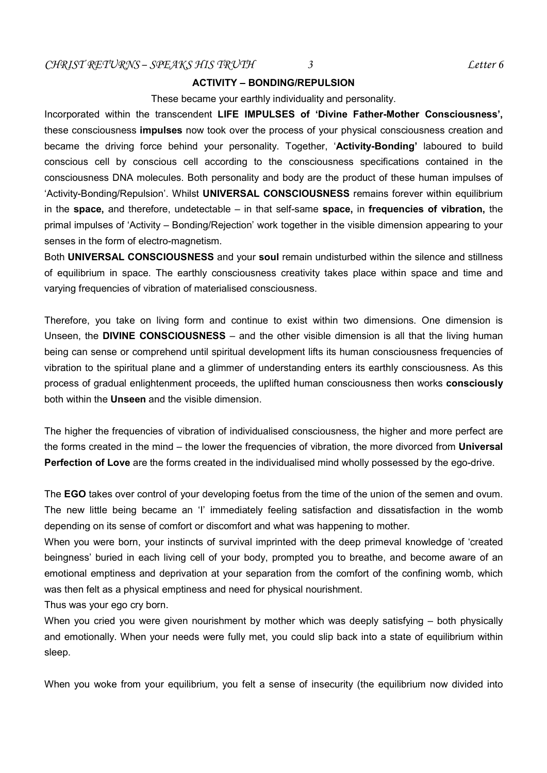#### **ACTIVITY – BONDING/REPULSION**

These became your earthly individuality and personality.

Incorporated within the transcendent **LIFE IMPULSES of 'Divine Father-Mother Consciousness',**  these consciousness **impulses** now took over the process of your physical consciousness creation and became the driving force behind your personality. Together, '**Activity-Bonding'** laboured to build conscious cell by conscious cell according to the consciousness specifications contained in the consciousness DNA molecules. Both personality and body are the product of these human impulses of 'Activity-Bonding/Repulsion'. Whilst **UNIVERSAL CONSCIOUSNESS** remains forever within equilibrium in the **space,** and therefore, undetectable – in that self-same **space,** in **frequencies of vibration,** the primal impulses of 'Activity – Bonding/Rejection' work together in the visible dimension appearing to your senses in the form of electro-magnetism.

Both **UNIVERSAL CONSCIOUSNESS** and your **soul** remain undisturbed within the silence and stillness of equilibrium in space. The earthly consciousness creativity takes place within space and time and varying frequencies of vibration of materialised consciousness.

Therefore, you take on living form and continue to exist within two dimensions. One dimension is Unseen, the **DIVINE CONSCIOUSNESS** – and the other visible dimension is all that the living human being can sense or comprehend until spiritual development lifts its human consciousness frequencies of vibration to the spiritual plane and a glimmer of understanding enters its earthly consciousness. As this process of gradual enlightenment proceeds, the uplifted human consciousness then works **consciously**  both within the **Unseen** and the visible dimension.

The higher the frequencies of vibration of individualised consciousness, the higher and more perfect are the forms created in the mind – the lower the frequencies of vibration, the more divorced from **Universal Perfection of Love** are the forms created in the individualised mind wholly possessed by the ego-drive.

The **EGO** takes over control of your developing foetus from the time of the union of the semen and ovum. The new little being became an 'I' immediately feeling satisfaction and dissatisfaction in the womb depending on its sense of comfort or discomfort and what was happening to mother.

When you were born, your instincts of survival imprinted with the deep primeval knowledge of 'created beingness' buried in each living cell of your body, prompted you to breathe, and become aware of an emotional emptiness and deprivation at your separation from the comfort of the confining womb, which was then felt as a physical emptiness and need for physical nourishment.

Thus was your ego cry born.

When you cried you were given nourishment by mother which was deeply satisfying – both physically and emotionally. When your needs were fully met, you could slip back into a state of equilibrium within sleep.

When you woke from your equilibrium, you felt a sense of insecurity (the equilibrium now divided into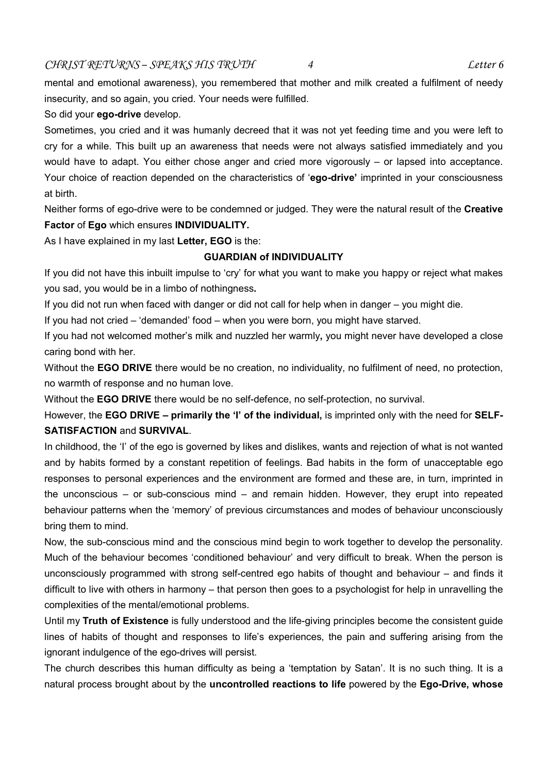## *CHRIST RETURNS* – *SPEAKS HIS TRUTH 4 Letter 6*

mental and emotional awareness), you remembered that mother and milk created a fulfilment of needy insecurity, and so again, you cried. Your needs were fulfilled.

#### So did your **ego-drive** develop.

Sometimes, you cried and it was humanly decreed that it was not yet feeding time and you were left to cry for a while. This built up an awareness that needs were not always satisfied immediately and you would have to adapt. You either chose anger and cried more vigorously – or lapsed into acceptance. Your choice of reaction depended on the characteristics of '**ego-drive'** imprinted in your consciousness at birth.

Neither forms of ego-drive were to be condemned or judged. They were the natural result of the **Creative Factor** of **Ego** which ensures **INDIVIDUALITY.**

As I have explained in my last **Letter, EGO** is the:

## **GUARDIAN of INDIVIDUALITY**

If you did not have this inbuilt impulse to 'cry' for what you want to make you happy or reject what makes you sad, you would be in a limbo of nothingness**.**

If you did not run when faced with danger or did not call for help when in danger – you might die.

If you had not cried – 'demanded' food – when you were born, you might have starved.

If you had not welcomed mother's milk and nuzzled her warmly**,** you might never have developed a close caring bond with her.

Without the **EGO DRIVE** there would be no creation, no individuality, no fulfilment of need, no protection, no warmth of response and no human love.

Without the **EGO DRIVE** there would be no self-defence, no self-protection, no survival.

However, the **EGO DRIVE – primarily the 'I' of the individual,** is imprinted only with the need for **SELF-SATISFACTION** and **SURVIVAL**.

In childhood, the 'I' of the ego is governed by likes and dislikes, wants and rejection of what is not wanted and by habits formed by a constant repetition of feelings. Bad habits in the form of unacceptable ego responses to personal experiences and the environment are formed and these are, in turn, imprinted in the unconscious – or sub-conscious mind – and remain hidden. However, they erupt into repeated behaviour patterns when the 'memory' of previous circumstances and modes of behaviour unconsciously bring them to mind.

Now, the sub-conscious mind and the conscious mind begin to work together to develop the personality. Much of the behaviour becomes 'conditioned behaviour' and very difficult to break. When the person is unconsciously programmed with strong self-centred ego habits of thought and behaviour – and finds it difficult to live with others in harmony – that person then goes to a psychologist for help in unravelling the complexities of the mental/emotional problems.

Until my **Truth of Existence** is fully understood and the life-giving principles become the consistent guide lines of habits of thought and responses to life's experiences, the pain and suffering arising from the ignorant indulgence of the ego-drives will persist.

The church describes this human difficulty as being a 'temptation by Satan'. It is no such thing. It is a natural process brought about by the **uncontrolled reactions to life** powered by the **Ego-Drive, whose**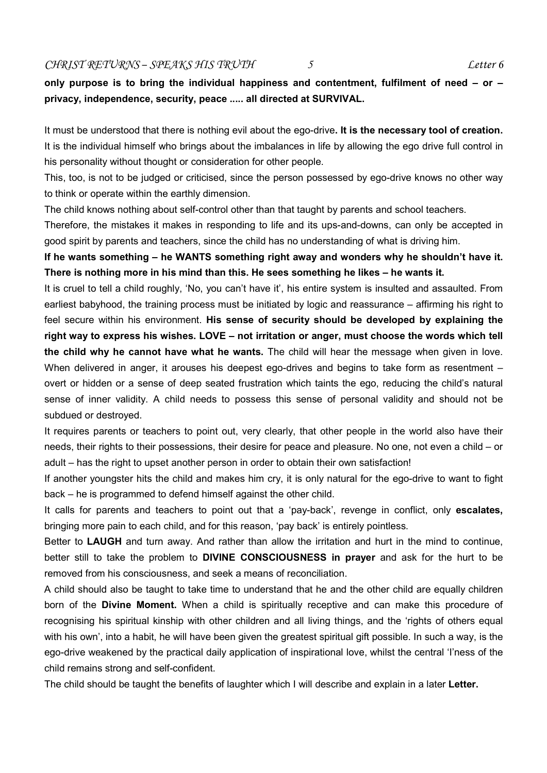## *CHRIST RETURNS* – *SPEAKS HIS TRUTH 5 Letter 6*

**only purpose is to bring the individual happiness and contentment, fulfilment of need – or – privacy, independence, security, peace ..... all directed at SURVIVAL.** 

It must be understood that there is nothing evil about the ego-drive**. It is the necessary tool of creation.**  It is the individual himself who brings about the imbalances in life by allowing the ego drive full control in his personality without thought or consideration for other people.

This, too, is not to be judged or criticised, since the person possessed by ego-drive knows no other way to think or operate within the earthly dimension.

The child knows nothing about self-control other than that taught by parents and school teachers.

Therefore, the mistakes it makes in responding to life and its ups-and-downs, can only be accepted in good spirit by parents and teachers, since the child has no understanding of what is driving him.

**If he wants something – he WANTS something right away and wonders why he shouldn't have it. There is nothing more in his mind than this. He sees something he likes – he wants it.** 

It is cruel to tell a child roughly, 'No, you can't have it', his entire system is insulted and assaulted. From earliest babyhood, the training process must be initiated by logic and reassurance – affirming his right to feel secure within his environment. **His sense of security should be developed by explaining the right way to express his wishes. LOVE – not irritation or anger, must choose the words which tell the child why he cannot have what he wants.** The child will hear the message when given in love. When delivered in anger, it arouses his deepest ego-drives and begins to take form as resentment – overt or hidden or a sense of deep seated frustration which taints the ego, reducing the child's natural sense of inner validity. A child needs to possess this sense of personal validity and should not be subdued or destroyed.

It requires parents or teachers to point out, very clearly, that other people in the world also have their needs, their rights to their possessions, their desire for peace and pleasure. No one, not even a child – or adult – has the right to upset another person in order to obtain their own satisfaction!

If another youngster hits the child and makes him cry, it is only natural for the ego-drive to want to fight back – he is programmed to defend himself against the other child.

It calls for parents and teachers to point out that a 'pay-back', revenge in conflict, only **escalates,**  bringing more pain to each child, and for this reason, 'pay back' is entirely pointless.

Better to **LAUGH** and turn away. And rather than allow the irritation and hurt in the mind to continue, better still to take the problem to **DIVINE CONSCIOUSNESS in prayer** and ask for the hurt to be removed from his consciousness, and seek a means of reconciliation.

A child should also be taught to take time to understand that he and the other child are equally children born of the **Divine Moment.** When a child is spiritually receptive and can make this procedure of recognising his spiritual kinship with other children and all living things, and the 'rights of others equal with his own', into a habit, he will have been given the greatest spiritual gift possible. In such a way, is the ego-drive weakened by the practical daily application of inspirational love, whilst the central 'I'ness of the child remains strong and self-confident.

The child should be taught the benefits of laughter which I will describe and explain in a later **Letter.**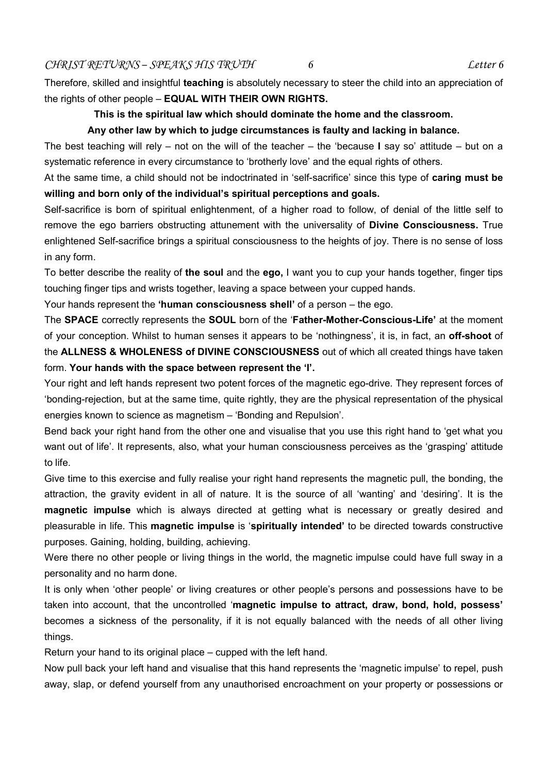## *CHRIST RETURNS* – *SPEAKS HIS TRUTH 6 Letter 6*

Therefore, skilled and insightful **teaching** is absolutely necessary to steer the child into an appreciation of the rights of other people – **EQUAL WITH THEIR OWN RIGHTS.**

## **This is the spiritual law which should dominate the home and the classroom.**

## **Any other law by which to judge circumstances is faulty and lacking in balance.**

The best teaching will rely – not on the will of the teacher – the 'because **I** say so' attitude – but on a systematic reference in every circumstance to 'brotherly love' and the equal rights of others.

At the same time, a child should not be indoctrinated in 'self-sacrifice' since this type of **caring must be willing and born only of the individual's spiritual perceptions and goals.** 

Self-sacrifice is born of spiritual enlightenment, of a higher road to follow, of denial of the little self to remove the ego barriers obstructing attunement with the universality of **Divine Consciousness.** True enlightened Self-sacrifice brings a spiritual consciousness to the heights of joy. There is no sense of loss in any form.

To better describe the reality of **the soul** and the **ego,** I want you to cup your hands together, finger tips touching finger tips and wrists together, leaving a space between your cupped hands.

Your hands represent the **'human consciousness shell'** of a person – the ego.

The **SPACE** correctly represents the **SOUL** born of the '**Father-Mother-Conscious-Life'** at the moment of your conception. Whilst to human senses it appears to be 'nothingness', it is, in fact, an **off-shoot** of the **ALLNESS & WHOLENESS of DIVINE CONSCIOUSNESS** out of which all created things have taken form. **Your hands with the space between represent the 'I'.**

Your right and left hands represent two potent forces of the magnetic ego-drive. They represent forces of 'bonding-rejection, but at the same time, quite rightly, they are the physical representation of the physical energies known to science as magnetism – 'Bonding and Repulsion'.

Bend back your right hand from the other one and visualise that you use this right hand to 'get what you want out of life'. It represents, also, what your human consciousness perceives as the 'grasping' attitude to life.

Give time to this exercise and fully realise your right hand represents the magnetic pull, the bonding, the attraction, the gravity evident in all of nature. It is the source of all 'wanting' and 'desiring'. It is the **magnetic impulse** which is always directed at getting what is necessary or greatly desired and pleasurable in life. This **magnetic impulse** is '**spiritually intended'** to be directed towards constructive purposes. Gaining, holding, building, achieving.

Were there no other people or living things in the world, the magnetic impulse could have full sway in a personality and no harm done.

It is only when 'other people' or living creatures or other people's persons and possessions have to be taken into account, that the uncontrolled '**magnetic impulse to attract, draw, bond, hold, possess'**  becomes a sickness of the personality, if it is not equally balanced with the needs of all other living things.

Return your hand to its original place – cupped with the left hand.

Now pull back your left hand and visualise that this hand represents the 'magnetic impulse' to repel, push away, slap, or defend yourself from any unauthorised encroachment on your property or possessions or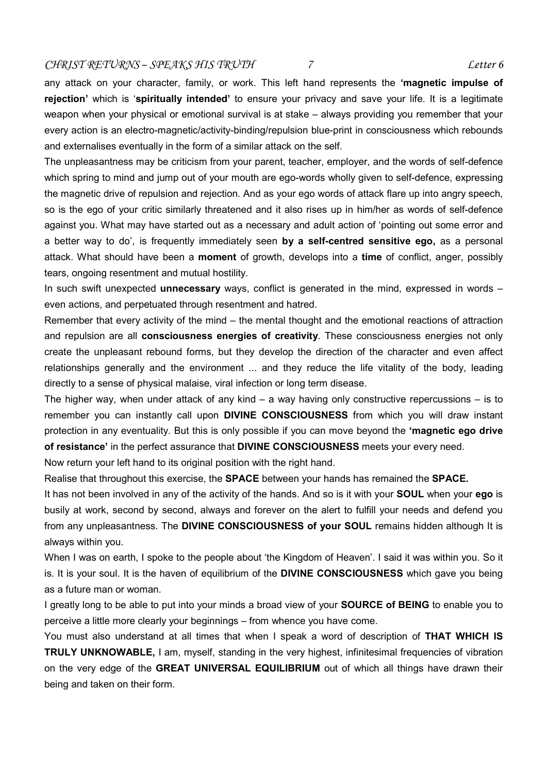## *CHRIST RETURNS* – *SPEAKS HIS TRUTH 7 Letter 6*

any attack on your character, family, or work. This left hand represents the **'magnetic impulse of rejection'** which is '**spiritually intended'** to ensure your privacy and save your life. It is a legitimate weapon when your physical or emotional survival is at stake – always providing you remember that your every action is an electro-magnetic/activity-binding/repulsion blue-print in consciousness which rebounds and externalises eventually in the form of a similar attack on the self.

The unpleasantness may be criticism from your parent, teacher, employer, and the words of self-defence which spring to mind and jump out of your mouth are ego-words wholly given to self-defence, expressing the magnetic drive of repulsion and rejection. And as your ego words of attack flare up into angry speech, so is the ego of your critic similarly threatened and it also rises up in him/her as words of self-defence against you. What may have started out as a necessary and adult action of 'pointing out some error and a better way to do', is frequently immediately seen **by a self-centred sensitive ego,** as a personal attack. What should have been a **moment** of growth, develops into a **time** of conflict, anger, possibly tears, ongoing resentment and mutual hostility.

In such swift unexpected **unnecessary** ways, conflict is generated in the mind, expressed in words – even actions, and perpetuated through resentment and hatred.

Remember that every activity of the mind – the mental thought and the emotional reactions of attraction and repulsion are all **consciousness energies of creativity**. These consciousness energies not only create the unpleasant rebound forms, but they develop the direction of the character and even affect relationships generally and the environment ... and they reduce the life vitality of the body, leading directly to a sense of physical malaise, viral infection or long term disease.

The higher way, when under attack of any kind – a way having only constructive repercussions – is to remember you can instantly call upon **DIVINE CONSCIOUSNESS** from which you will draw instant protection in any eventuality. But this is only possible if you can move beyond the **'magnetic ego drive of resistance'** in the perfect assurance that **DIVINE CONSCIOUSNESS** meets your every need.

Now return your left hand to its original position with the right hand.

Realise that throughout this exercise, the **SPACE** between your hands has remained the **SPACE.** 

It has not been involved in any of the activity of the hands. And so is it with your **SOUL** when your **ego** is busily at work, second by second, always and forever on the alert to fulfill your needs and defend you from any unpleasantness. The **DIVINE CONSCIOUSNESS of your SOUL** remains hidden although It is always within you.

When I was on earth, I spoke to the people about 'the Kingdom of Heaven'. I said it was within you. So it is. It is your soul. It is the haven of equilibrium of the **DIVINE CONSCIOUSNESS** which gave you being as a future man or woman.

I greatly long to be able to put into your minds a broad view of your **SOURCE of BEING** to enable you to perceive a little more clearly your beginnings – from whence you have come.

You must also understand at all times that when I speak a word of description of **THAT WHICH IS TRULY UNKNOWABLE,** I am, myself, standing in the very highest, infinitesimal frequencies of vibration on the very edge of the **GREAT UNIVERSAL EQUILIBRIUM** out of which all things have drawn their being and taken on their form.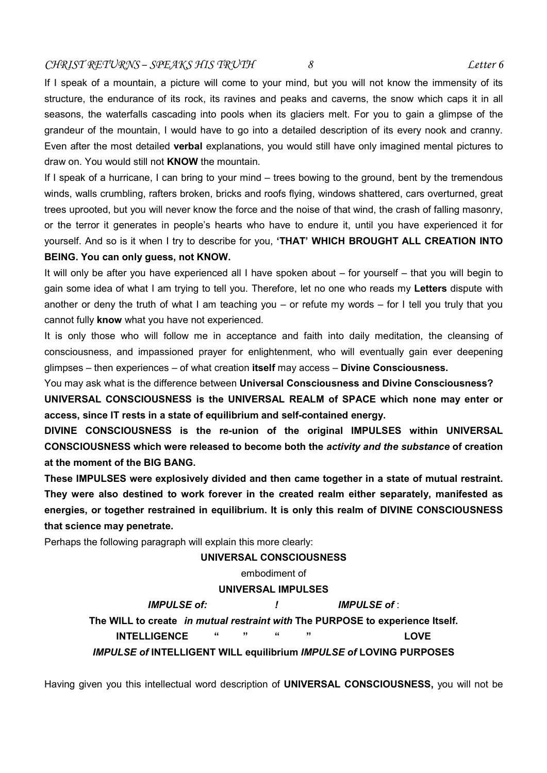## *CHRIST RETURNS* – *SPEAKS HIS TRUTH 8 Letter 6*

If I speak of a mountain, a picture will come to your mind, but you will not know the immensity of its structure, the endurance of its rock, its ravines and peaks and caverns, the snow which caps it in all seasons, the waterfalls cascading into pools when its glaciers melt. For you to gain a glimpse of the grandeur of the mountain, I would have to go into a detailed description of its every nook and cranny. Even after the most detailed **verbal** explanations, you would still have only imagined mental pictures to draw on. You would still not **KNOW** the mountain.

If I speak of a hurricane, I can bring to your mind – trees bowing to the ground, bent by the tremendous winds, walls crumbling, rafters broken, bricks and roofs flying, windows shattered, cars overturned, great trees uprooted, but you will never know the force and the noise of that wind, the crash of falling masonry, or the terror it generates in people's hearts who have to endure it, until you have experienced it for yourself. And so is it when I try to describe for you, **'THAT' WHICH BROUGHT ALL CREATION INTO BEING. You can only guess, not KNOW.**

It will only be after you have experienced all I have spoken about – for yourself – that you will begin to gain some idea of what I am trying to tell you. Therefore, let no one who reads my **Letters** dispute with another or deny the truth of what I am teaching you – or refute my words – for I tell you truly that you cannot fully **know** what you have not experienced.

It is only those who will follow me in acceptance and faith into daily meditation, the cleansing of consciousness, and impassioned prayer for enlightenment, who will eventually gain ever deepening glimpses – then experiences – of what creation **itself** may access – **Divine Consciousness.**

You may ask what is the difference between **Universal Consciousness and Divine Consciousness? UNIVERSAL CONSCIOUSNESS is the UNIVERSAL REALM of SPACE which none may enter or access, since IT rests in a state of equilibrium and self-contained energy.** 

**DIVINE CONSCIOUSNESS is the re-union of the original IMPULSES within UNIVERSAL CONSCIOUSNESS which were released to become both the** *activity and the substance* **of creation at the moment of the BIG BANG.** 

**These IMPULSES were explosively divided and then came together in a state of mutual restraint. They were also destined to work forever in the created realm either separately, manifested as energies, or together restrained in equilibrium. It is only this realm of DIVINE CONSCIOUSNESS that science may penetrate.** 

Perhaps the following paragraph will explain this more clearly:

## **UNIVERSAL CONSCIOUSNESS**

embodiment of

# **UNIVERSAL IMPULSES**

*IMPULSE of: ! IMPULSE of* : **The WILL to create** *in mutual restraint with* **The PURPOSE to experience Itself. INTELLIGENCE " " " " LOVE**  *IMPULSE of* **INTELLIGENT WILL equilibrium** *IMPULSE of* **LOVING PURPOSES** 

Having given you this intellectual word description of **UNIVERSAL CONSCIOUSNESS,** you will not be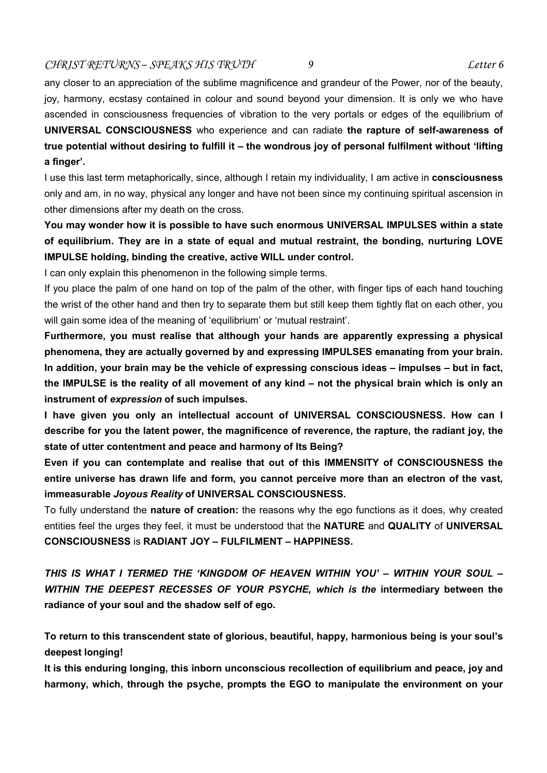## *CHRIST RETURNS* – *SPEAKS HIS TRUTH 9 Letter 6*

any closer to an appreciation of the sublime magnificence and grandeur of the Power, nor of the beauty, joy, harmony, ecstasy contained in colour and sound beyond your dimension. It is only we who have ascended in consciousness frequencies of vibration to the very portals or edges of the equilibrium of **UNIVERSAL CONSCIOUSNESS** who experience and can radiate **the rapture of self-awareness of true potential without desiring to fulfill it – the wondrous joy of personal fulfilment without 'lifting a finger'.**

I use this last term metaphorically, since, although I retain my individuality, I am active in **consciousness**  only and am, in no way, physical any longer and have not been since my continuing spiritual ascension in other dimensions after my death on the cross.

**You may wonder how it is possible to have such enormous UNIVERSAL IMPULSES within a state of equilibrium. They are in a state of equal and mutual restraint, the bonding, nurturing LOVE IMPULSE holding, binding the creative, active WILL under control.** 

I can only explain this phenomenon in the following simple terms.

If you place the palm of one hand on top of the palm of the other, with finger tips of each hand touching the wrist of the other hand and then try to separate them but still keep them tightly flat on each other, you will gain some idea of the meaning of 'equilibrium' or 'mutual restraint'.

**Furthermore, you must realise that although your hands are apparently expressing a physical phenomena, they are actually governed by and expressing IMPULSES emanating from your brain. In addition, your brain may be the vehicle of expressing conscious ideas – impulses – but in fact, the IMPULSE is the reality of all movement of any kind – not the physical brain which is only an instrument of** *expression* **of such impulses.** 

**I have given you only an intellectual account of UNIVERSAL CONSCIOUSNESS. How can I describe for you the latent power, the magnificence of reverence, the rapture, the radiant joy, the state of utter contentment and peace and harmony of Its Being?** 

**Even if you can contemplate and realise that out of this IMMENSITY of CONSCIOUSNESS the entire universe has drawn life and form, you cannot perceive more than an electron of the vast, immeasurable** *Joyous Reality* **of UNIVERSAL CONSCIOUSNESS.** 

To fully understand the **nature of creation:** the reasons why the ego functions as it does, why created entities feel the urges they feel, it must be understood that the **NATURE** and **QUALITY** of **UNIVERSAL CONSCIOUSNESS** is **RADIANT JOY – FULFILMENT – HAPPINESS.** 

*THIS IS WHAT I TERMED THE 'KINGDOM OF HEAVEN WITHIN YOU' – WITHIN YOUR SOUL – WITHIN THE DEEPEST RECESSES OF YOUR PSYCHE, which is the* **intermediary between the radiance of your soul and the shadow self of ego.** 

**To return to this transcendent state of glorious, beautiful, happy, harmonious being is your soul's deepest longing!** 

**It is this enduring longing, this inborn unconscious recollection of equilibrium and peace, joy and harmony, which, through the psyche, prompts the EGO to manipulate the environment on your**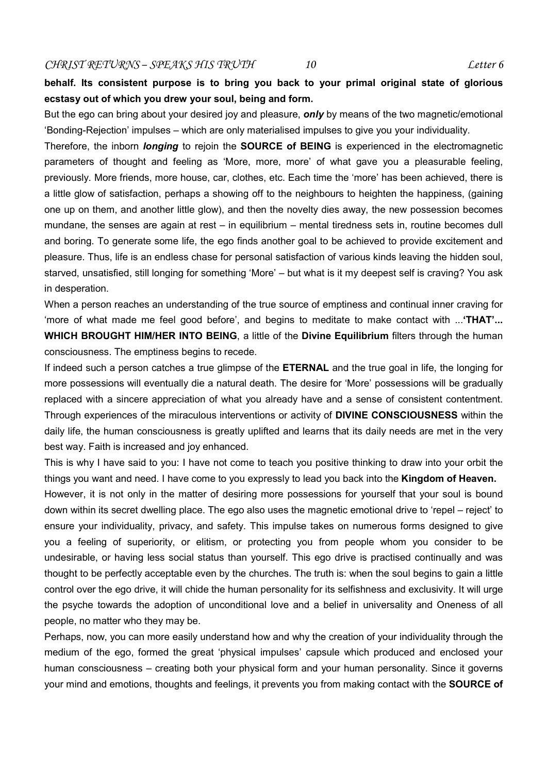#### *CHRIST RETURNS* – *SPEAKS HIS TRUTH 10 Letter 6*

**behalf. Its consistent purpose is to bring you back to your primal original state of glorious ecstasy out of which you drew your soul, being and form.** 

But the ego can bring about your desired joy and pleasure, *only* by means of the two magnetic/emotional 'Bonding-Rejection' impulses – which are only materialised impulses to give you your individuality.

Therefore, the inborn *longing* to rejoin the **SOURCE of BEING** is experienced in the electromagnetic parameters of thought and feeling as 'More, more, more' of what gave you a pleasurable feeling, previously. More friends, more house, car, clothes, etc. Each time the 'more' has been achieved, there is a little glow of satisfaction, perhaps a showing off to the neighbours to heighten the happiness, (gaining one up on them, and another little glow), and then the novelty dies away, the new possession becomes mundane, the senses are again at rest – in equilibrium – mental tiredness sets in, routine becomes dull and boring. To generate some life, the ego finds another goal to be achieved to provide excitement and pleasure. Thus, life is an endless chase for personal satisfaction of various kinds leaving the hidden soul, starved, unsatisfied, still longing for something 'More' – but what is it my deepest self is craving? You ask in desperation.

When a person reaches an understanding of the true source of emptiness and continual inner craving for 'more of what made me feel good before', and begins to meditate to make contact with ...**'THAT'... WHICH BROUGHT HIM/HER INTO BEING**, a little of the **Divine Equilibrium** filters through the human consciousness. The emptiness begins to recede.

If indeed such a person catches a true glimpse of the **ETERNAL** and the true goal in life, the longing for more possessions will eventually die a natural death. The desire for 'More' possessions will be gradually replaced with a sincere appreciation of what you already have and a sense of consistent contentment. Through experiences of the miraculous interventions or activity of **DIVINE CONSCIOUSNESS** within the daily life, the human consciousness is greatly uplifted and learns that its daily needs are met in the very best way. Faith is increased and joy enhanced.

This is why I have said to you: I have not come to teach you positive thinking to draw into your orbit the things you want and need. I have come to you expressly to lead you back into the **Kingdom of Heaven.**

However, it is not only in the matter of desiring more possessions for yourself that your soul is bound down within its secret dwelling place. The ego also uses the magnetic emotional drive to 'repel – reject' to ensure your individuality, privacy, and safety. This impulse takes on numerous forms designed to give you a feeling of superiority, or elitism, or protecting you from people whom you consider to be undesirable, or having less social status than yourself. This ego drive is practised continually and was thought to be perfectly acceptable even by the churches. The truth is: when the soul begins to gain a little control over the ego drive, it will chide the human personality for its selfishness and exclusivity. It will urge the psyche towards the adoption of unconditional love and a belief in universality and Oneness of all people, no matter who they may be.

Perhaps, now, you can more easily understand how and why the creation of your individuality through the medium of the ego, formed the great 'physical impulses' capsule which produced and enclosed your human consciousness – creating both your physical form and your human personality. Since it governs your mind and emotions, thoughts and feelings, it prevents you from making contact with the **SOURCE of**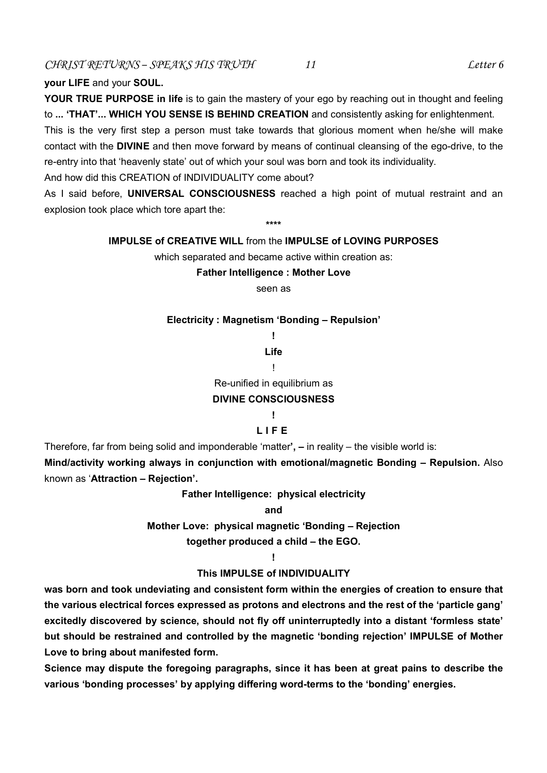*CHRIST RETURNS* – *SPEAKS HIS TRUTH 11 Letter 6*

**your LIFE** and your **SOUL.**

**YOUR TRUE PURPOSE in life** is to gain the mastery of your ego by reaching out in thought and feeling to **... 'THAT'... WHICH YOU SENSE IS BEHIND CREATION** and consistently asking for enlightenment.

This is the very first step a person must take towards that glorious moment when he/she will make contact with the **DIVINE** and then move forward by means of continual cleansing of the ego-drive, to the re-entry into that 'heavenly state' out of which your soul was born and took its individuality.

And how did this CREATION of INDIVIDUALITY come about?

As I said before, **UNIVERSAL CONSCIOUSNESS** reached a high point of mutual restraint and an explosion took place which tore apart the:

**\*\*\*\*** 

## **IMPULSE of CREATIVE WILL** from the **IMPULSE of LOVING PURPOSES**

which separated and became active within creation as:

#### **Father Intelligence : Mother Love**

seen as

#### **Electricity : Magnetism 'Bonding – Repulsion'**

**! Life** 

# !

Re-unified in equilibrium as

#### **DIVINE CONSCIOUSNESS**

# **!**

## **L I F E**

Therefore, far from being solid and imponderable 'matter**', –** in reality – the visible world is:

**Mind/activity working always in conjunction with emotional/magnetic Bonding – Repulsion.** Also known as '**Attraction – Rejection'.** 

**Father Intelligence: physical electricity** 

**and** 

**Mother Love: physical magnetic 'Bonding – Rejection** 

**together produced a child – the EGO.** 

## **!**

#### **This IMPULSE of INDIVIDUALITY**

**was born and took undeviating and consistent form within the energies of creation to ensure that the various electrical forces expressed as protons and electrons and the rest of the 'particle gang' excitedly discovered by science, should not fly off uninterruptedly into a distant 'formless state' but should be restrained and controlled by the magnetic 'bonding rejection' IMPULSE of Mother Love to bring about manifested form.** 

**Science may dispute the foregoing paragraphs, since it has been at great pains to describe the various 'bonding processes' by applying differing word-terms to the 'bonding' energies.**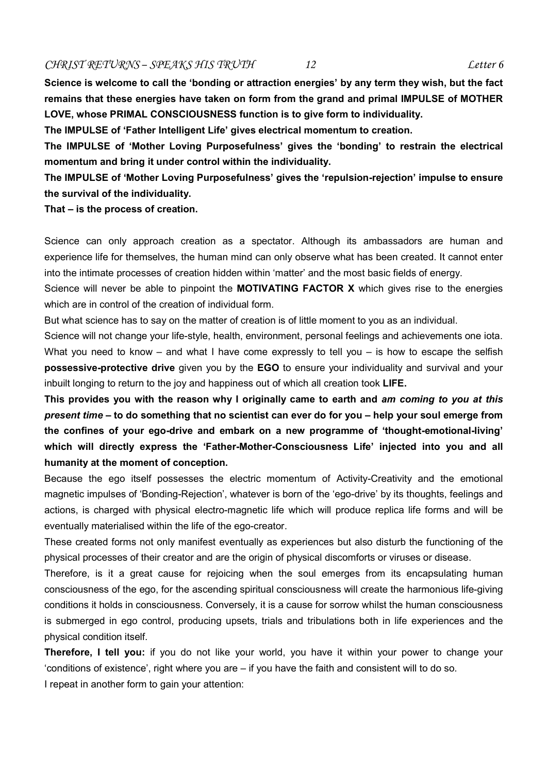## *CHRIST RETURNS* – *SPEAKS HIS TRUTH 12 Letter 6*

**Science is welcome to call the 'bonding or attraction energies' by any term they wish, but the fact remains that these energies have taken on form from the grand and primal IMPULSE of MOTHER LOVE, whose PRIMAL CONSCIOUSNESS function is to give form to individuality.** 

**The IMPULSE of 'Father Intelligent Life' gives electrical momentum to creation.** 

**The IMPULSE of 'Mother Loving Purposefulness' gives the 'bonding' to restrain the electrical momentum and bring it under control within the individuality.** 

**The IMPULSE of 'Mother Loving Purposefulness' gives the 'repulsion-rejection' impulse to ensure the survival of the individuality.** 

**That – is the process of creation.** 

Science can only approach creation as a spectator. Although its ambassadors are human and experience life for themselves, the human mind can only observe what has been created. It cannot enter into the intimate processes of creation hidden within 'matter' and the most basic fields of energy.

Science will never be able to pinpoint the **MOTIVATING FACTOR X** which gives rise to the energies which are in control of the creation of individual form.

But what science has to say on the matter of creation is of little moment to you as an individual.

Science will not change your life-style, health, environment, personal feelings and achievements one iota. What you need to know – and what I have come expressly to tell you – is how to escape the selfish **possessive-protective drive** given you by the **EGO** to ensure your individuality and survival and your inbuilt longing to return to the joy and happiness out of which all creation took **LIFE.**

**This provides you with the reason why I originally came to earth and** *am coming to you at this present time* **– to do something that no scientist can ever do for you – help your soul emerge from the confines of your ego-drive and embark on a new programme of 'thought-emotional-living' which will directly express the 'Father-Mother-Consciousness Life' injected into you and all humanity at the moment of conception.**

Because the ego itself possesses the electric momentum of Activity-Creativity and the emotional magnetic impulses of 'Bonding-Rejection', whatever is born of the 'ego-drive' by its thoughts, feelings and actions, is charged with physical electro-magnetic life which will produce replica life forms and will be eventually materialised within the life of the ego-creator.

These created forms not only manifest eventually as experiences but also disturb the functioning of the physical processes of their creator and are the origin of physical discomforts or viruses or disease.

Therefore, is it a great cause for rejoicing when the soul emerges from its encapsulating human consciousness of the ego, for the ascending spiritual consciousness will create the harmonious life-giving conditions it holds in consciousness. Conversely, it is a cause for sorrow whilst the human consciousness is submerged in ego control, producing upsets, trials and tribulations both in life experiences and the physical condition itself.

**Therefore, I tell you:** if you do not like your world, you have it within your power to change your 'conditions of existence', right where you are – if you have the faith and consistent will to do so. I repeat in another form to gain your attention: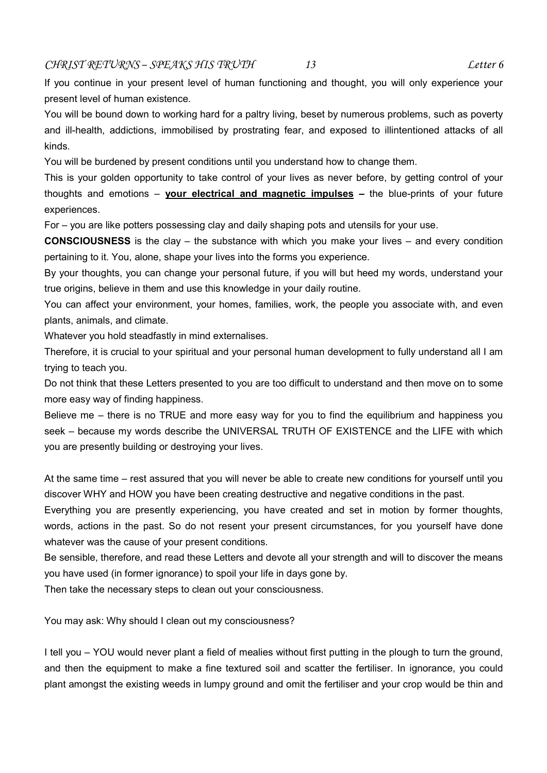## *CHRIST RETURNS* – *SPEAKS HIS TRUTH 13 Letter 6*

If you continue in your present level of human functioning and thought, you will only experience your present level of human existence.

You will be bound down to working hard for a paltry living, beset by numerous problems, such as poverty and ill-health, addictions, immobilised by prostrating fear, and exposed to illintentioned attacks of all kinds.

You will be burdened by present conditions until you understand how to change them.

This is your golden opportunity to take control of your lives as never before, by getting control of your thoughts and emotions – **your electrical and magnetic impulses –** the blue-prints of your future experiences.

For – you are like potters possessing clay and daily shaping pots and utensils for your use.

**CONSCIOUSNESS** is the clay – the substance with which you make your lives – and every condition pertaining to it. You, alone, shape your lives into the forms you experience.

By your thoughts, you can change your personal future, if you will but heed my words, understand your true origins, believe in them and use this knowledge in your daily routine.

You can affect your environment, your homes, families, work, the people you associate with, and even plants, animals, and climate.

Whatever you hold steadfastly in mind externalises.

Therefore, it is crucial to your spiritual and your personal human development to fully understand all I am trying to teach you.

Do not think that these Letters presented to you are too difficult to understand and then move on to some more easy way of finding happiness.

Believe me – there is no TRUE and more easy way for you to find the equilibrium and happiness you seek – because my words describe the UNIVERSAL TRUTH OF EXISTENCE and the LIFE with which you are presently building or destroying your lives.

At the same time – rest assured that you will never be able to create new conditions for yourself until you discover WHY and HOW you have been creating destructive and negative conditions in the past.

Everything you are presently experiencing, you have created and set in motion by former thoughts, words, actions in the past. So do not resent your present circumstances, for you yourself have done whatever was the cause of your present conditions.

Be sensible, therefore, and read these Letters and devote all your strength and will to discover the means you have used (in former ignorance) to spoil your life in days gone by.

Then take the necessary steps to clean out your consciousness.

You may ask: Why should I clean out my consciousness?

I tell you – YOU would never plant a field of mealies without first putting in the plough to turn the ground, and then the equipment to make a fine textured soil and scatter the fertiliser. In ignorance, you could plant amongst the existing weeds in lumpy ground and omit the fertiliser and your crop would be thin and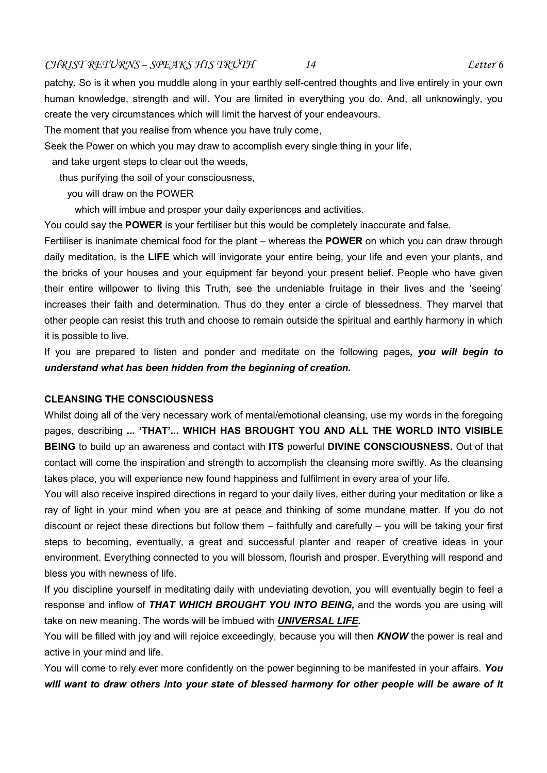## *CHRIST RETURNS* – *SPEAKS HIS TRUTH 14 Letter 6*

patchy. So is it when you muddle along in your earthly self-centred thoughts and live entirely in your own human knowledge, strength and will. You are limited in everything you do. And, all unknowingly, you create the very circumstances which will limit the harvest of your endeavours.

The moment that you realise from whence you have truly come,

Seek the Power on which you may draw to accomplish every single thing in your life,

and take urgent steps to clear out the weeds.

thus purifying the soil of your consciousness,

you will draw on the POWER

which will imbue and prosper your daily experiences and activities.

You could say the **POWER** is your fertiliser but this would be completely inaccurate and false.

Fertiliser is inanimate chemical food for the plant – whereas the **POWER** on which you can draw through daily meditation, is the **LIFE** which will invigorate your entire being, your life and even your plants, and the bricks of your houses and your equipment far beyond your present belief. People who have given their entire willpower to living this Truth, see the undeniable fruitage in their lives and the 'seeing' increases their faith and determination. Thus do they enter a circle of blessedness. They marvel that other people can resist this truth and choose to remain outside the spiritual and earthly harmony in which it is possible to live.

If you are prepared to listen and ponder and meditate on the following pages*, you will begin to understand what has been hidden from the beginning of creation.* 

## **CLEANSING THE CONSCIOUSNESS**

Whilst doing all of the very necessary work of mental/emotional cleansing, use my words in the foregoing pages, describing **... 'THAT'... WHICH HAS BROUGHT YOU AND ALL THE WORLD INTO VISIBLE BEING** to build up an awareness and contact with **ITS** powerful **DIVINE CONSCIOUSNESS.** Out of that contact will come the inspiration and strength to accomplish the cleansing more swiftly. As the cleansing takes place, you will experience new found happiness and fulfilment in every area of your life.

You will also receive inspired directions in regard to your daily lives, either during your meditation or like a ray of light in your mind when you are at peace and thinking of some mundane matter. If you do not discount or reject these directions but follow them – faithfully and carefully – you will be taking your first steps to becoming, eventually, a great and successful planter and reaper of creative ideas in your environment. Everything connected to you will blossom, flourish and prosper. Everything will respond and bless you with newness of life.

If you discipline yourself in meditating daily with undeviating devotion, you will eventually begin to feel a response and inflow of *THAT WHICH BROUGHT YOU INTO BEING,* and the words you are using will take on new meaning. The words will be imbued with *UNIVERSAL LIFE.*

You will be filled with joy and will rejoice exceedingly, because you will then *KNOW* the power is real and active in your mind and life.

You will come to rely ever more confidently on the power beginning to be manifested in your affairs. *You will want to draw others into your state of blessed harmony for other people will be aware of It*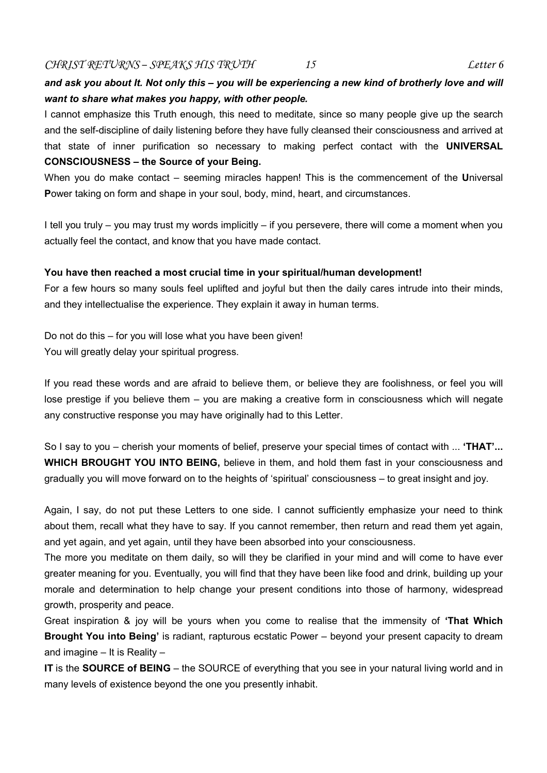## *CHRIST RETURNS* – *SPEAKS HIS TRUTH 15 Letter 6*

# *and ask you about It. Not only this – you will be experiencing a new kind of brotherly love and will want to share what makes you happy, with other people.*

I cannot emphasize this Truth enough, this need to meditate, since so many people give up the search and the self-discipline of daily listening before they have fully cleansed their consciousness and arrived at that state of inner purification so necessary to making perfect contact with the **UNIVERSAL CONSCIOUSNESS – the Source of your Being.**

When you do make contact – seeming miracles happen! This is the commencement of the **U**niversal **P**ower taking on form and shape in your soul, body, mind, heart, and circumstances.

I tell you truly – you may trust my words implicitly – if you persevere, there will come a moment when you actually feel the contact, and know that you have made contact.

## **You have then reached a most crucial time in your spiritual/human development!**

For a few hours so many souls feel uplifted and joyful but then the daily cares intrude into their minds, and they intellectualise the experience. They explain it away in human terms.

Do not do this – for you will lose what you have been given! You will greatly delay your spiritual progress.

If you read these words and are afraid to believe them, or believe they are foolishness, or feel you will lose prestige if you believe them – you are making a creative form in consciousness which will negate any constructive response you may have originally had to this Letter.

So I say to you – cherish your moments of belief, preserve your special times of contact with ... **'THAT'... WHICH BROUGHT YOU INTO BEING,** believe in them, and hold them fast in your consciousness and gradually you will move forward on to the heights of 'spiritual' consciousness – to great insight and joy.

Again, I say, do not put these Letters to one side. I cannot sufficiently emphasize your need to think about them, recall what they have to say. If you cannot remember, then return and read them yet again, and yet again, and yet again, until they have been absorbed into your consciousness.

The more you meditate on them daily, so will they be clarified in your mind and will come to have ever greater meaning for you. Eventually, you will find that they have been like food and drink, building up your morale and determination to help change your present conditions into those of harmony, widespread growth, prosperity and peace.

Great inspiration & joy will be yours when you come to realise that the immensity of **'That Which Brought You into Being'** is radiant, rapturous ecstatic Power – beyond your present capacity to dream and imagine – It is Reality –

**IT** is the **SOURCE of BEING** – the SOURCE of everything that you see in your natural living world and in many levels of existence beyond the one you presently inhabit.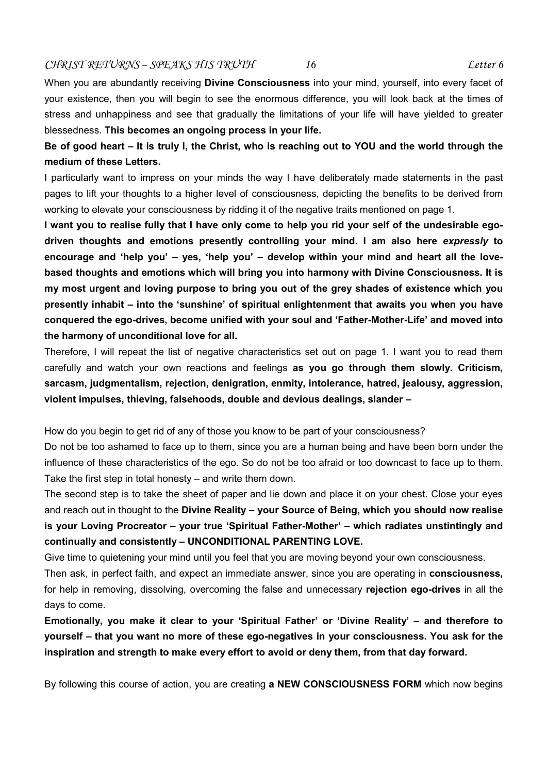## *CHRIST RETURNS* – *SPEAKS HIS TRUTH 16 Letter 6*

When you are abundantly receiving **Divine Consciousness** into your mind, yourself, into every facet of your existence, then you will begin to see the enormous difference, you will look back at the times of stress and unhappiness and see that gradually the limitations of your life will have yielded to greater blessedness. **This becomes an ongoing process in your life.**

# **Be of good heart – It is truly I, the Christ, who is reaching out to YOU and the world through the medium of these Letters.**

I particularly want to impress on your minds the way I have deliberately made statements in the past pages to lift your thoughts to a higher level of consciousness, depicting the benefits to be derived from working to elevate your consciousness by ridding it of the negative traits mentioned on page 1.

**I want you to realise fully that I have only come to help you rid your self of the undesirable egodriven thoughts and emotions presently controlling your mind. I am also here** *expressly* **to encourage and 'help you' – yes, 'help you' – develop within your mind and heart all the lovebased thoughts and emotions which will bring you into harmony with Divine Consciousness. It is my most urgent and loving purpose to bring you out of the grey shades of existence which you presently inhabit – into the 'sunshine' of spiritual enlightenment that awaits you when you have conquered the ego-drives, become unified with your soul and 'Father-Mother-Life' and moved into the harmony of unconditional love for all.** 

Therefore, I will repeat the list of negative characteristics set out on page 1. I want you to read them carefully and watch your own reactions and feelings **as you go through them slowly. Criticism, sarcasm, judgmentalism, rejection, denigration, enmity, intolerance, hatred, jealousy, aggression, violent impulses, thieving, falsehoods, double and devious dealings, slander –**

How do you begin to get rid of any of those you know to be part of your consciousness?

Do not be too ashamed to face up to them, since you are a human being and have been born under the influence of these characteristics of the ego. So do not be too afraid or too downcast to face up to them. Take the first step in total honesty – and write them down.

The second step is to take the sheet of paper and lie down and place it on your chest. Close your eyes and reach out in thought to the **Divine Reality – your Source of Being, which you should now realise is your Loving Procreator – your true 'Spiritual Father-Mother' – which radiates unstintingly and continually and consistently – UNCONDITIONAL PARENTING LOVE.**

Give time to quietening your mind until you feel that you are moving beyond your own consciousness.

Then ask, in perfect faith, and expect an immediate answer, since you are operating in **consciousness,**  for help in removing, dissolving, overcoming the false and unnecessary **rejection ego-drives** in all the days to come.

**Emotionally, you make it clear to your 'Spiritual Father' or 'Divine Reality' – and therefore to yourself – that you want no more of these ego-negatives in your consciousness. You ask for the inspiration and strength to make every effort to avoid or deny them, from that day forward.** 

By following this course of action, you are creating **a NEW CONSCIOUSNESS FORM** which now begins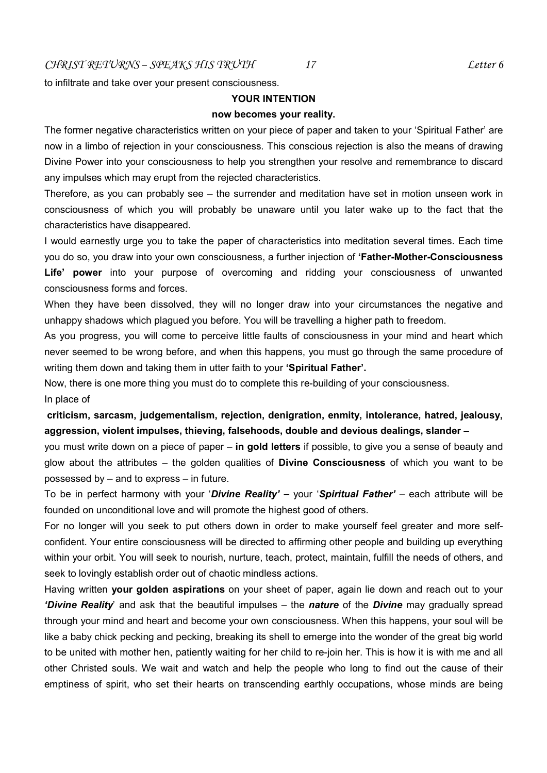to infiltrate and take over your present consciousness.

#### **YOUR INTENTION**

#### **now becomes your reality.**

The former negative characteristics written on your piece of paper and taken to your 'Spiritual Father' are now in a limbo of rejection in your consciousness. This conscious rejection is also the means of drawing Divine Power into your consciousness to help you strengthen your resolve and remembrance to discard any impulses which may erupt from the rejected characteristics.

Therefore, as you can probably see – the surrender and meditation have set in motion unseen work in consciousness of which you will probably be unaware until you later wake up to the fact that the characteristics have disappeared.

I would earnestly urge you to take the paper of characteristics into meditation several times. Each time you do so, you draw into your own consciousness, a further injection of **'Father-Mother-Consciousness**  Life' power into your purpose of overcoming and ridding your consciousness of unwanted consciousness forms and forces.

When they have been dissolved, they will no longer draw into your circumstances the negative and unhappy shadows which plagued you before. You will be travelling a higher path to freedom.

As you progress, you will come to perceive little faults of consciousness in your mind and heart which never seemed to be wrong before, and when this happens, you must go through the same procedure of writing them down and taking them in utter faith to your **'Spiritual Father'.**

Now, there is one more thing you must do to complete this re-building of your consciousness.

In place of

**criticism, sarcasm, judgementalism, rejection, denigration, enmity, intolerance, hatred, jealousy, aggression, violent impulses, thieving, falsehoods, double and devious dealings, slander –**

you must write down on a piece of paper – **in gold letters** if possible, to give you a sense of beauty and glow about the attributes – the golden qualities of **Divine Consciousness** of which you want to be possessed by – and to express – in future.

To be in perfect harmony with your '*Divine Reality' –* your '*Spiritual Father'* – each attribute will be founded on unconditional love and will promote the highest good of others.

For no longer will you seek to put others down in order to make yourself feel greater and more selfconfident. Your entire consciousness will be directed to affirming other people and building up everything within your orbit. You will seek to nourish, nurture, teach, protect, maintain, fulfill the needs of others, and seek to lovingly establish order out of chaotic mindless actions.

Having written **your golden aspirations** on your sheet of paper, again lie down and reach out to your *'Divine Reality*' and ask that the beautiful impulses – the *nature* of the *Divine* may gradually spread through your mind and heart and become your own consciousness. When this happens, your soul will be like a baby chick pecking and pecking, breaking its shell to emerge into the wonder of the great big world to be united with mother hen, patiently waiting for her child to re-join her. This is how it is with me and all other Christed souls. We wait and watch and help the people who long to find out the cause of their emptiness of spirit, who set their hearts on transcending earthly occupations, whose minds are being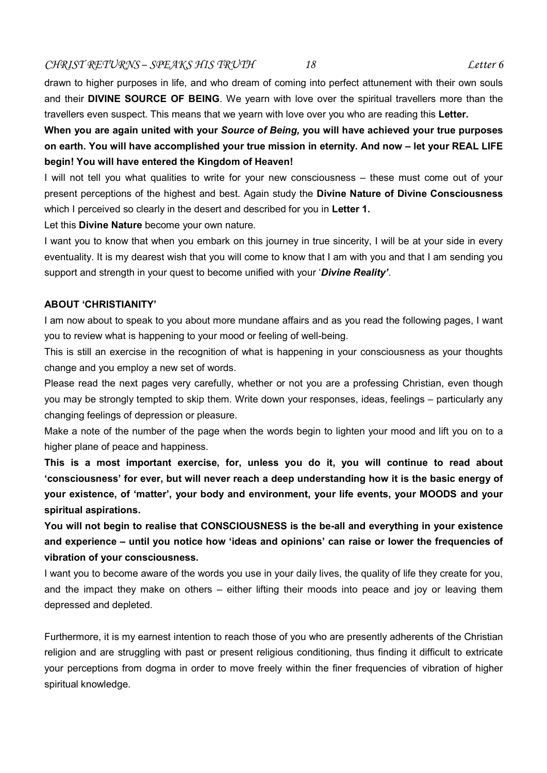## *CHRIST RETURNS* – *SPEAKS HIS TRUTH 18 Letter 6*

drawn to higher purposes in life, and who dream of coming into perfect attunement with their own souls and their **DIVINE SOURCE OF BEING**. We yearn with love over the spiritual travellers more than the travellers even suspect. This means that we yearn with love over you who are reading this **Letter.**

**When you are again united with your** *Source of Being,* **you will have achieved your true purposes on earth. You will have accomplished your true mission in eternity. And now – let your REAL LIFE begin! You will have entered the Kingdom of Heaven!**

I will not tell you what qualities to write for your new consciousness – these must come out of your present perceptions of the highest and best. Again study the **Divine Nature of Divine Consciousness**  which I perceived so clearly in the desert and described for you in **Letter 1.**

Let this **Divine Nature** become your own nature.

I want you to know that when you embark on this journey in true sincerity, I will be at your side in every eventuality. It is my dearest wish that you will come to know that I am with you and that I am sending you support and strength in your quest to become unified with your '*Divine Reality'*.

## **ABOUT 'CHRISTIANITY'**

I am now about to speak to you about more mundane affairs and as you read the following pages, I want you to review what is happening to your mood or feeling of well-being.

This is still an exercise in the recognition of what is happening in your consciousness as your thoughts change and you employ a new set of words.

Please read the next pages very carefully, whether or not you are a professing Christian, even though you may be strongly tempted to skip them. Write down your responses, ideas, feelings – particularly any changing feelings of depression or pleasure.

Make a note of the number of the page when the words begin to lighten your mood and lift you on to a higher plane of peace and happiness.

**This is a most important exercise, for, unless you do it, you will continue to read about 'consciousness' for ever, but will never reach a deep understanding how it is the basic energy of your existence, of 'matter', your body and environment, your life events, your MOODS and your spiritual aspirations.** 

**You will not begin to realise that CONSCIOUSNESS is the be-all and everything in your existence and experience – until you notice how 'ideas and opinions' can raise or lower the frequencies of vibration of your consciousness.** 

I want you to become aware of the words you use in your daily lives, the quality of life they create for you, and the impact they make on others – either lifting their moods into peace and joy or leaving them depressed and depleted.

Furthermore, it is my earnest intention to reach those of you who are presently adherents of the Christian religion and are struggling with past or present religious conditioning, thus finding it difficult to extricate your perceptions from dogma in order to move freely within the finer frequencies of vibration of higher spiritual knowledge.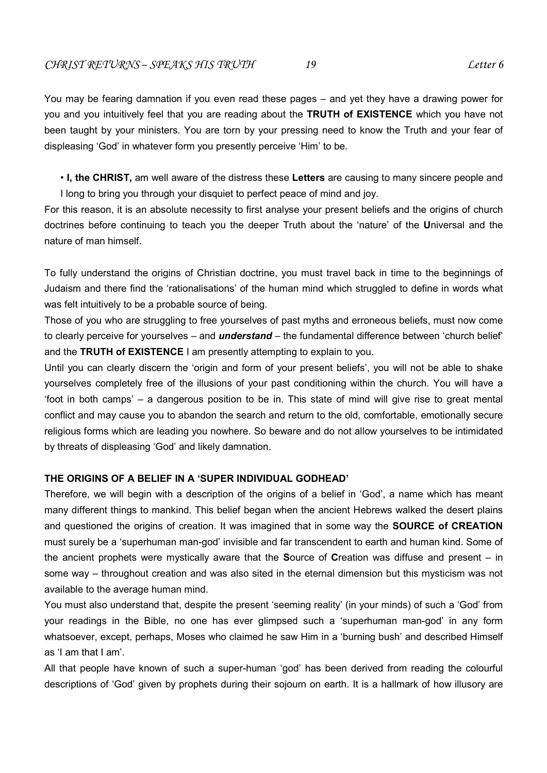You may be fearing damnation if you even read these pages – and yet they have a drawing power for you and you intuitively feel that you are reading about the **TRUTH of EXISTENCE** which you have not been taught by your ministers. You are torn by your pressing need to know the Truth and your fear of displeasing 'God' in whatever form you presently perceive 'Him' to be.

• **I, the CHRIST,** am well aware of the distress these **Letters** are causing to many sincere people and I long to bring you through your disquiet to perfect peace of mind and joy.

For this reason, it is an absolute necessity to first analyse your present beliefs and the origins of church doctrines before continuing to teach you the deeper Truth about the 'nature' of the **U**niversal and the nature of man himself.

To fully understand the origins of Christian doctrine, you must travel back in time to the beginnings of Judaism and there find the 'rationalisations' of the human mind which struggled to define in words what was felt intuitively to be a probable source of being.

Those of you who are struggling to free yourselves of past myths and erroneous beliefs, must now come to clearly perceive for yourselves – and *understand* – the fundamental difference between 'church belief' and the **TRUTH of EXISTENCE** I am presently attempting to explain to you.

Until you can clearly discern the 'origin and form of your present beliefs', you will not be able to shake yourselves completely free of the illusions of your past conditioning within the church. You will have a 'foot in both camps' – a dangerous position to be in. This state of mind will give rise to great mental conflict and may cause you to abandon the search and return to the old, comfortable, emotionally secure religious forms which are leading you nowhere. So beware and do not allow yourselves to be intimidated by threats of displeasing 'God' and likely damnation.

## **THE ORIGINS OF A BELIEF IN A 'SUPER INDIVIDUAL GODHEAD'**

Therefore, we will begin with a description of the origins of a belief in 'God', a name which has meant many different things to mankind. This belief began when the ancient Hebrews walked the desert plains and questioned the origins of creation. It was imagined that in some way the **SOURCE of CREATION**  must surely be a 'superhuman man-god' invisible and far transcendent to earth and human kind. Some of the ancient prophets were mystically aware that the **S**ource of **C**reation was diffuse and present – in some way – throughout creation and was also sited in the eternal dimension but this mysticism was not available to the average human mind.

You must also understand that, despite the present 'seeming reality' (in your minds) of such a 'God' from your readings in the Bible, no one has ever glimpsed such a 'superhuman man-god' in any form whatsoever, except, perhaps, Moses who claimed he saw Him in a 'burning bush' and described Himself as 'I am that I am'.

All that people have known of such a super-human 'god' has been derived from reading the colourful descriptions of 'God' given by prophets during their sojourn on earth. It is a hallmark of how illusory are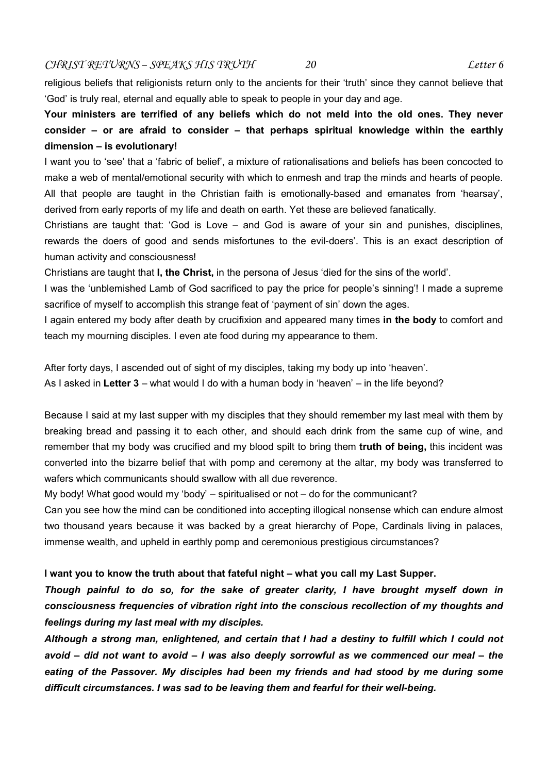#### *CHRIST RETURNS* – *SPEAKS HIS TRUTH 20 Letter 6*

religious beliefs that religionists return only to the ancients for their 'truth' since they cannot believe that 'God' is truly real, eternal and equally able to speak to people in your day and age.

**Your ministers are terrified of any beliefs which do not meld into the old ones. They never consider – or are afraid to consider – that perhaps spiritual knowledge within the earthly dimension – is evolutionary!** 

I want you to 'see' that a 'fabric of belief', a mixture of rationalisations and beliefs has been concocted to make a web of mental/emotional security with which to enmesh and trap the minds and hearts of people. All that people are taught in the Christian faith is emotionally-based and emanates from 'hearsay', derived from early reports of my life and death on earth. Yet these are believed fanatically.

Christians are taught that: 'God is Love – and God is aware of your sin and punishes, disciplines, rewards the doers of good and sends misfortunes to the evil-doers'. This is an exact description of human activity and consciousness!

Christians are taught that **I, the Christ,** in the persona of Jesus 'died for the sins of the world'.

I was the 'unblemished Lamb of God sacrificed to pay the price for people's sinning'! I made a supreme sacrifice of myself to accomplish this strange feat of 'payment of sin' down the ages.

I again entered my body after death by crucifixion and appeared many times **in the body** to comfort and teach my mourning disciples. I even ate food during my appearance to them.

After forty days, I ascended out of sight of my disciples, taking my body up into 'heaven'. As I asked in **Letter 3** – what would I do with a human body in 'heaven' – in the life beyond?

Because I said at my last supper with my disciples that they should remember my last meal with them by breaking bread and passing it to each other, and should each drink from the same cup of wine, and remember that my body was crucified and my blood spilt to bring them **truth of being,** this incident was converted into the bizarre belief that with pomp and ceremony at the altar, my body was transferred to wafers which communicants should swallow with all due reverence.

My body! What good would my 'body' – spiritualised or not – do for the communicant?

Can you see how the mind can be conditioned into accepting illogical nonsense which can endure almost two thousand years because it was backed by a great hierarchy of Pope, Cardinals living in palaces, immense wealth, and upheld in earthly pomp and ceremonious prestigious circumstances?

## **I want you to know the truth about that fateful night – what you call my Last Supper.**

*Though painful to do so, for the sake of greater clarity, I have brought myself down in consciousness frequencies of vibration right into the conscious recollection of my thoughts and feelings during my last meal with my disciples.* 

*Although a strong man, enlightened, and certain that I had a destiny to fulfill which I could not avoid – did not want to avoid – I was also deeply sorrowful as we commenced our meal – the eating of the Passover. My disciples had been my friends and had stood by me during some difficult circumstances. I was sad to be leaving them and fearful for their well-being.*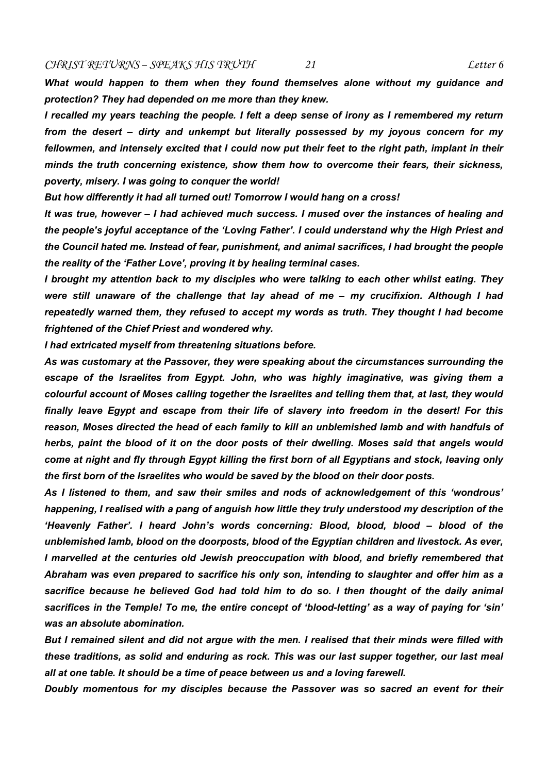#### *CHRIST RETURNS* – *SPEAKS HIS TRUTH 21 Letter 6*

What would happen to them when they found themselves alone without my guidance and *protection? They had depended on me more than they knew.* 

*I recalled my years teaching the people. I felt a deep sense of irony as I remembered my return from the desert – dirty and unkempt but literally possessed by my joyous concern for my fellowmen, and intensely excited that I could now put their feet to the right path, implant in their minds the truth concerning existence, show them how to overcome their fears, their sickness, poverty, misery. I was going to conquer the world!* 

*But how differently it had all turned out! Tomorrow I would hang on a cross!* 

*It was true, however – I had achieved much success. I mused over the instances of healing and the people's joyful acceptance of the 'Loving Father'. I could understand why the High Priest and the Council hated me. Instead of fear, punishment, and animal sacrifices, I had brought the people the reality of the 'Father Love', proving it by healing terminal cases.* 

*I brought my attention back to my disciples who were talking to each other whilst eating. They were still unaware of the challenge that lay ahead of me – my crucifixion. Although I had repeatedly warned them, they refused to accept my words as truth. They thought I had become frightened of the Chief Priest and wondered why.* 

*I had extricated myself from threatening situations before.* 

*As was customary at the Passover, they were speaking about the circumstances surrounding the escape of the Israelites from Egypt. John, who was highly imaginative, was giving them a colourful account of Moses calling together the Israelites and telling them that, at last, they would finally leave Egypt and escape from their life of slavery into freedom in the desert! For this reason, Moses directed the head of each family to kill an unblemished lamb and with handfuls of herbs, paint the blood of it on the door posts of their dwelling. Moses said that angels would come at night and fly through Egypt killing the first born of all Egyptians and stock, leaving only the first born of the Israelites who would be saved by the blood on their door posts.* 

*As I listened to them, and saw their smiles and nods of acknowledgement of this 'wondrous' happening, I realised with a pang of anguish how little they truly understood my description of the 'Heavenly Father'. I heard John's words concerning: Blood, blood, blood – blood of the unblemished lamb, blood on the doorposts, blood of the Egyptian children and livestock. As ever, I marvelled at the centuries old Jewish preoccupation with blood, and briefly remembered that Abraham was even prepared to sacrifice his only son, intending to slaughter and offer him as a sacrifice because he believed God had told him to do so. I then thought of the daily animal sacrifices in the Temple! To me, the entire concept of 'blood-letting' as a way of paying for 'sin' was an absolute abomination.* 

*But I remained silent and did not argue with the men. I realised that their minds were filled with these traditions, as solid and enduring as rock. This was our last supper together, our last meal all at one table. It should be a time of peace between us and a loving farewell.* 

*Doubly momentous for my disciples because the Passover was so sacred an event for their*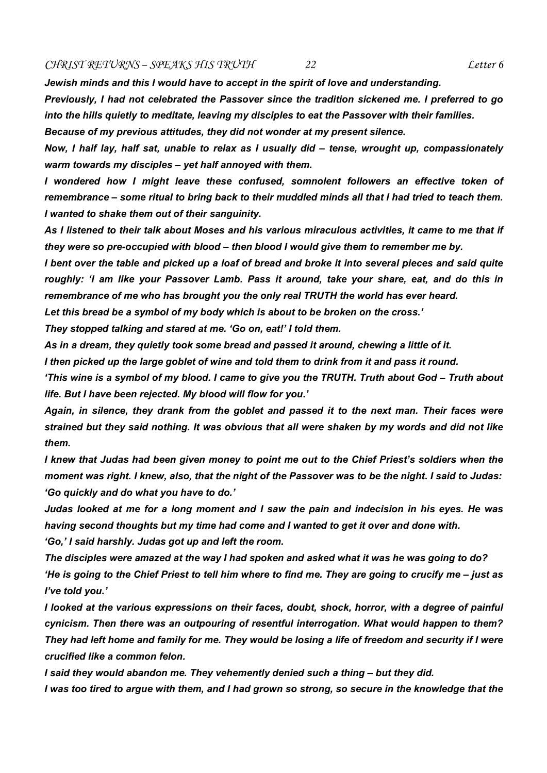## *CHRIST RETURNS* – *SPEAKS HIS TRUTH 22 Letter 6*

*Jewish minds and this I would have to accept in the spirit of love and understanding.* 

*Previously, I had not celebrated the Passover since the tradition sickened me. I preferred to go into the hills quietly to meditate, leaving my disciples to eat the Passover with their families.* 

*Because of my previous attitudes, they did not wonder at my present silence.* 

*Now, I half lay, half sat, unable to relax as I usually did – tense, wrought up, compassionately warm towards my disciples – yet half annoyed with them.* 

*I* wondered how *I* might leave these confused, somnolent followers an effective token of *remembrance – some ritual to bring back to their muddled minds all that I had tried to teach them. I wanted to shake them out of their sanguinity.* 

*As I listened to their talk about Moses and his various miraculous activities, it came to me that if they were so pre-occupied with blood – then blood I would give them to remember me by.* 

*I bent over the table and picked up a loaf of bread and broke it into several pieces and said quite roughly: 'I am like your Passover Lamb. Pass it around, take your share, eat, and do this in remembrance of me who has brought you the only real TRUTH the world has ever heard.* 

*Let this bread be a symbol of my body which is about to be broken on the cross.'* 

*They stopped talking and stared at me. 'Go on, eat!' I told them.* 

*As in a dream, they quietly took some bread and passed it around, chewing a little of it.* 

*I then picked up the large goblet of wine and told them to drink from it and pass it round.* 

*'This wine is a symbol of my blood. I came to give you the TRUTH. Truth about God – Truth about life. But I have been rejected. My blood will flow for you.'* 

*Again, in silence, they drank from the goblet and passed it to the next man. Their faces were strained but they said nothing. It was obvious that all were shaken by my words and did not like them.* 

*I knew that Judas had been given money to point me out to the Chief Priest's soldiers when the moment was right. I knew, also, that the night of the Passover was to be the night. I said to Judas: 'Go quickly and do what you have to do.'* 

*Judas looked at me for a long moment and I saw the pain and indecision in his eyes. He was having second thoughts but my time had come and I wanted to get it over and done with.* 

*'Go,' I said harshly. Judas got up and left the room.* 

*The disciples were amazed at the way I had spoken and asked what it was he was going to do? 'He is going to the Chief Priest to tell him where to find me. They are going to crucify me – just as I've told you.'* 

*I looked at the various expressions on their faces, doubt, shock, horror, with a degree of painful cynicism. Then there was an outpouring of resentful interrogation. What would happen to them? They had left home and family for me. They would be losing a life of freedom and security if I were crucified like a common felon.* 

*I said they would abandon me. They vehemently denied such a thing – but they did.* 

*I* was too tired to argue with them, and *I* had grown so strong, so secure in the knowledge that the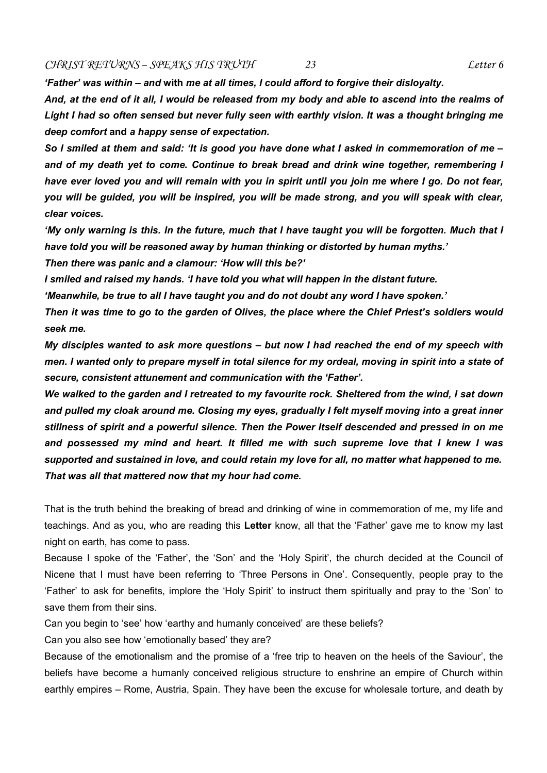## *CHRIST RETURNS* – *SPEAKS HIS TRUTH 23 Letter 6*

*'Father' was within – and* **with** *me at all times, I could afford to forgive their disloyalty.* 

*And, at the end of it all, I would be released from my body and able to ascend into the realms of Light I had so often sensed but never fully seen with earthly vision. It was a thought bringing me deep comfort* **and** *a happy sense of expectation.* 

*So I smiled at them and said: 'It is good you have done what I asked in commemoration of me – and of my death yet to come. Continue to break bread and drink wine together, remembering I have ever loved you and will remain with you in spirit until you join me where I go. Do not fear, you will be guided, you will be inspired, you will be made strong, and you will speak with clear, clear voices.* 

*'My only warning is this. In the future, much that I have taught you will be forgotten. Much that I have told you will be reasoned away by human thinking or distorted by human myths.'* 

*Then there was panic and a clamour: 'How will this be?'* 

*I smiled and raised my hands. 'I have told you what will happen in the distant future.* 

*'Meanwhile, be true to all I have taught you and do not doubt any word I have spoken.'* 

*Then it was time to go to the garden of Olives, the place where the Chief Priest's soldiers would seek me.* 

*My disciples wanted to ask more questions – but now I had reached the end of my speech with men. I wanted only to prepare myself in total silence for my ordeal, moving in spirit into a state of secure, consistent attunement and communication with the 'Father'.* 

*We walked to the garden and I retreated to my favourite rock. Sheltered from the wind, I sat down and pulled my cloak around me. Closing my eyes, gradually I felt myself moving into a great inner stillness of spirit and a powerful silence. Then the Power Itself descended and pressed in on me and possessed my mind and heart. It filled me with such supreme love that I knew I was supported and sustained in love, and could retain my love for all, no matter what happened to me. That was all that mattered now that my hour had come.* 

That is the truth behind the breaking of bread and drinking of wine in commemoration of me, my life and teachings. And as you, who are reading this **Letter** know, all that the 'Father' gave me to know my last night on earth, has come to pass.

Because I spoke of the 'Father', the 'Son' and the 'Holy Spirit', the church decided at the Council of Nicene that I must have been referring to 'Three Persons in One'. Consequently, people pray to the 'Father' to ask for benefits, implore the 'Holy Spirit' to instruct them spiritually and pray to the 'Son' to save them from their sins.

Can you begin to 'see' how 'earthy and humanly conceived' are these beliefs?

Can you also see how 'emotionally based' they are?

Because of the emotionalism and the promise of a 'free trip to heaven on the heels of the Saviour', the beliefs have become a humanly conceived religious structure to enshrine an empire of Church within earthly empires – Rome, Austria, Spain. They have been the excuse for wholesale torture, and death by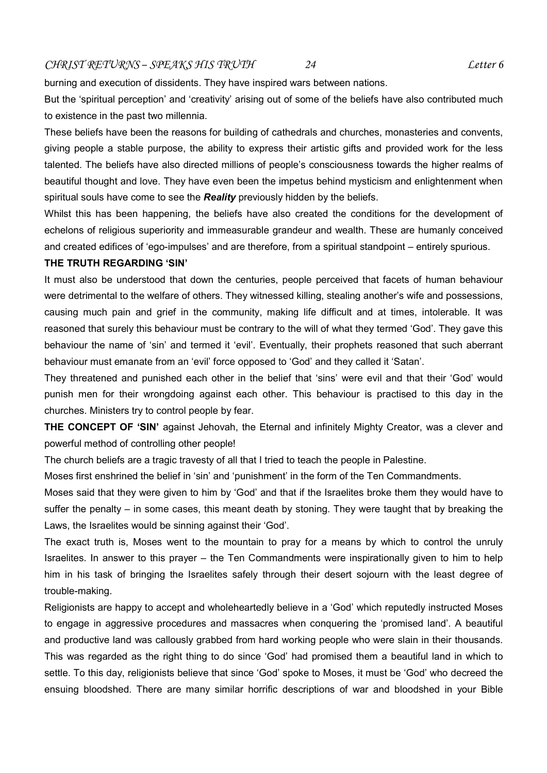## *CHRIST RETURNS* – *SPEAKS HIS TRUTH 24 Letter 6*

But the 'spiritual perception' and 'creativity' arising out of some of the beliefs have also contributed much to existence in the past two millennia.

These beliefs have been the reasons for building of cathedrals and churches, monasteries and convents, giving people a stable purpose, the ability to express their artistic gifts and provided work for the less talented. The beliefs have also directed millions of people's consciousness towards the higher realms of beautiful thought and love. They have even been the impetus behind mysticism and enlightenment when spiritual souls have come to see the *Reality* previously hidden by the beliefs.

Whilst this has been happening, the beliefs have also created the conditions for the development of echelons of religious superiority and immeasurable grandeur and wealth. These are humanly conceived and created edifices of 'ego-impulses' and are therefore, from a spiritual standpoint – entirely spurious.

#### **THE TRUTH REGARDING 'SIN'**

It must also be understood that down the centuries, people perceived that facets of human behaviour were detrimental to the welfare of others. They witnessed killing, stealing another's wife and possessions, causing much pain and grief in the community, making life difficult and at times, intolerable. It was reasoned that surely this behaviour must be contrary to the will of what they termed 'God'. They gave this behaviour the name of 'sin' and termed it 'evil'. Eventually, their prophets reasoned that such aberrant behaviour must emanate from an 'evil' force opposed to 'God' and they called it 'Satan'.

They threatened and punished each other in the belief that 'sins' were evil and that their 'God' would punish men for their wrongdoing against each other. This behaviour is practised to this day in the churches. Ministers try to control people by fear.

**THE CONCEPT OF 'SIN'** against Jehovah, the Eternal and infinitely Mighty Creator, was a clever and powerful method of controlling other people!

The church beliefs are a tragic travesty of all that I tried to teach the people in Palestine.

Moses first enshrined the belief in 'sin' and 'punishment' in the form of the Ten Commandments.

Moses said that they were given to him by 'God' and that if the Israelites broke them they would have to suffer the penalty – in some cases, this meant death by stoning. They were taught that by breaking the Laws, the Israelites would be sinning against their 'God'.

The exact truth is, Moses went to the mountain to pray for a means by which to control the unruly Israelites. In answer to this prayer – the Ten Commandments were inspirationally given to him to help him in his task of bringing the Israelites safely through their desert sojourn with the least degree of trouble-making.

Religionists are happy to accept and wholeheartedly believe in a 'God' which reputedly instructed Moses to engage in aggressive procedures and massacres when conquering the 'promised land'. A beautiful and productive land was callously grabbed from hard working people who were slain in their thousands. This was regarded as the right thing to do since 'God' had promised them a beautiful land in which to settle. To this day, religionists believe that since 'God' spoke to Moses, it must be 'God' who decreed the ensuing bloodshed. There are many similar horrific descriptions of war and bloodshed in your Bible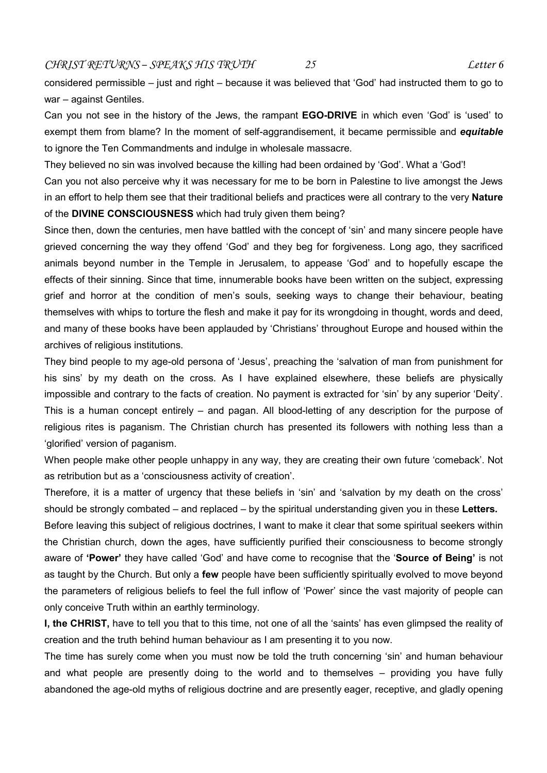#### *CHRIST RETURNS* – *SPEAKS HIS TRUTH 25 Letter 6*

considered permissible – just and right – because it was believed that 'God' had instructed them to go to war – against Gentiles.

Can you not see in the history of the Jews, the rampant **EGO-DRIVE** in which even 'God' is 'used' to exempt them from blame? In the moment of self-aggrandisement, it became permissible and *equitable*  to ignore the Ten Commandments and indulge in wholesale massacre.

They believed no sin was involved because the killing had been ordained by 'God'. What a 'God'!

Can you not also perceive why it was necessary for me to be born in Palestine to live amongst the Jews in an effort to help them see that their traditional beliefs and practices were all contrary to the very **Nature**  of the **DIVINE CONSCIOUSNESS** which had truly given them being?

Since then, down the centuries, men have battled with the concept of 'sin' and many sincere people have grieved concerning the way they offend 'God' and they beg for forgiveness. Long ago, they sacrificed animals beyond number in the Temple in Jerusalem, to appease 'God' and to hopefully escape the effects of their sinning. Since that time, innumerable books have been written on the subject, expressing grief and horror at the condition of men's souls, seeking ways to change their behaviour, beating themselves with whips to torture the flesh and make it pay for its wrongdoing in thought, words and deed, and many of these books have been applauded by 'Christians' throughout Europe and housed within the archives of religious institutions.

They bind people to my age-old persona of 'Jesus', preaching the 'salvation of man from punishment for his sins' by my death on the cross. As I have explained elsewhere, these beliefs are physically impossible and contrary to the facts of creation. No payment is extracted for 'sin' by any superior 'Deity'. This is a human concept entirely – and pagan. All blood-letting of any description for the purpose of religious rites is paganism. The Christian church has presented its followers with nothing less than a 'glorified' version of paganism.

When people make other people unhappy in any way, they are creating their own future 'comeback'. Not as retribution but as a 'consciousness activity of creation'.

Therefore, it is a matter of urgency that these beliefs in 'sin' and 'salvation by my death on the cross' should be strongly combated – and replaced – by the spiritual understanding given you in these **Letters.**

Before leaving this subject of religious doctrines, I want to make it clear that some spiritual seekers within the Christian church, down the ages, have sufficiently purified their consciousness to become strongly aware of **'Power'** they have called 'God' and have come to recognise that the '**Source of Being'** is not as taught by the Church. But only a **few** people have been sufficiently spiritually evolved to move beyond the parameters of religious beliefs to feel the full inflow of 'Power' since the vast majority of people can only conceive Truth within an earthly terminology.

**I, the CHRIST,** have to tell you that to this time, not one of all the 'saints' has even glimpsed the reality of creation and the truth behind human behaviour as I am presenting it to you now.

The time has surely come when you must now be told the truth concerning 'sin' and human behaviour and what people are presently doing to the world and to themselves – providing you have fully abandoned the age-old myths of religious doctrine and are presently eager, receptive, and gladly opening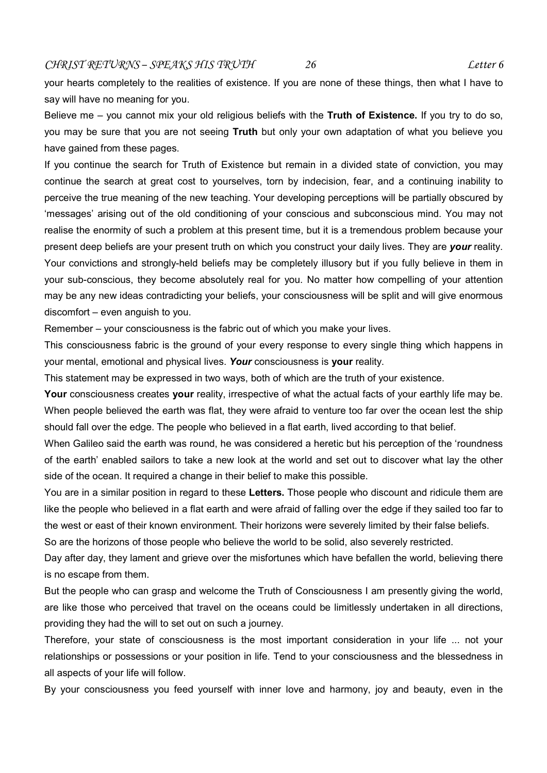#### *CHRIST RETURNS* – *SPEAKS HIS TRUTH 26 Letter 6*

your hearts completely to the realities of existence. If you are none of these things, then what I have to say will have no meaning for you.

Believe me – you cannot mix your old religious beliefs with the **Truth of Existence.** If you try to do so, you may be sure that you are not seeing **Truth** but only your own adaptation of what you believe you have gained from these pages.

If you continue the search for Truth of Existence but remain in a divided state of conviction, you may continue the search at great cost to yourselves, torn by indecision, fear, and a continuing inability to perceive the true meaning of the new teaching. Your developing perceptions will be partially obscured by 'messages' arising out of the old conditioning of your conscious and subconscious mind. You may not realise the enormity of such a problem at this present time, but it is a tremendous problem because your present deep beliefs are your present truth on which you construct your daily lives. They are *your* reality. Your convictions and strongly-held beliefs may be completely illusory but if you fully believe in them in your sub-conscious, they become absolutely real for you. No matter how compelling of your attention may be any new ideas contradicting your beliefs, your consciousness will be split and will give enormous discomfort – even anguish to you.

Remember – your consciousness is the fabric out of which you make your lives.

This consciousness fabric is the ground of your every response to every single thing which happens in your mental, emotional and physical lives. *Your* consciousness is **your** reality.

This statement may be expressed in two ways, both of which are the truth of your existence.

**Your** consciousness creates **your** reality, irrespective of what the actual facts of your earthly life may be. When people believed the earth was flat, they were afraid to venture too far over the ocean lest the ship should fall over the edge. The people who believed in a flat earth, lived according to that belief.

When Galileo said the earth was round, he was considered a heretic but his perception of the 'roundness of the earth' enabled sailors to take a new look at the world and set out to discover what lay the other side of the ocean. It required a change in their belief to make this possible.

You are in a similar position in regard to these **Letters.** Those people who discount and ridicule them are like the people who believed in a flat earth and were afraid of falling over the edge if they sailed too far to the west or east of their known environment. Their horizons were severely limited by their false beliefs.

So are the horizons of those people who believe the world to be solid, also severely restricted.

Day after day, they lament and grieve over the misfortunes which have befallen the world, believing there is no escape from them.

But the people who can grasp and welcome the Truth of Consciousness I am presently giving the world, are like those who perceived that travel on the oceans could be limitlessly undertaken in all directions, providing they had the will to set out on such a journey.

Therefore, your state of consciousness is the most important consideration in your life ... not your relationships or possessions or your position in life. Tend to your consciousness and the blessedness in all aspects of your life will follow.

By your consciousness you feed yourself with inner love and harmony, joy and beauty, even in the